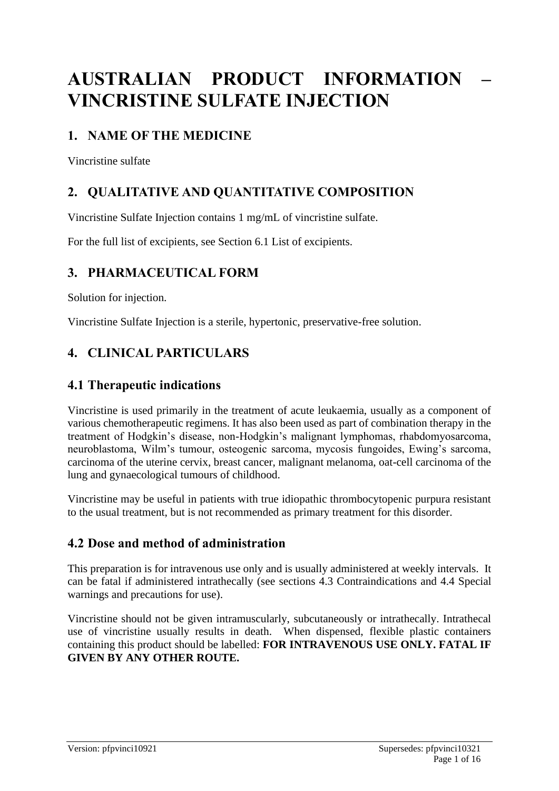# **AUSTRALIAN PRODUCT INFORMATION – VINCRISTINE SULFATE INJECTION**

# **1. NAME OF THE MEDICINE**

Vincristine sulfate

# **2. QUALITATIVE AND QUANTITATIVE COMPOSITION**

Vincristine Sulfate Injection contains 1 mg/mL of vincristine sulfate.

For the full list of excipients, see Section 6.1 List of excipients.

# **3. PHARMACEUTICAL FORM**

Solution for injection.

Vincristine Sulfate Injection is a sterile, hypertonic, preservative-free solution.

# **4. CLINICAL PARTICULARS**

## **4.1 Therapeutic indications**

Vincristine is used primarily in the treatment of acute leukaemia, usually as a component of various chemotherapeutic regimens. It has also been used as part of combination therapy in the treatment of Hodgkin's disease, non-Hodgkin's malignant lymphomas, rhabdomyosarcoma, neuroblastoma, Wilm's tumour, osteogenic sarcoma, mycosis fungoides, Ewing's sarcoma, carcinoma of the uterine cervix, breast cancer, malignant melanoma, oat-cell carcinoma of the lung and gynaecological tumours of childhood.

Vincristine may be useful in patients with true idiopathic thrombocytopenic purpura resistant to the usual treatment, but is not recommended as primary treatment for this disorder.

# **4.2 Dose and method of administration**

This preparation is for intravenous use only and is usually administered at weekly intervals. It can be fatal if administered intrathecally (see sections 4.3 Contraindications and 4.4 Special warnings and precautions for use).

Vincristine should not be given intramuscularly, subcutaneously or intrathecally. Intrathecal use of vincristine usually results in death. When dispensed, flexible plastic containers containing this product should be labelled: **FOR INTRAVENOUS USE ONLY. FATAL IF GIVEN BY ANY OTHER ROUTE.**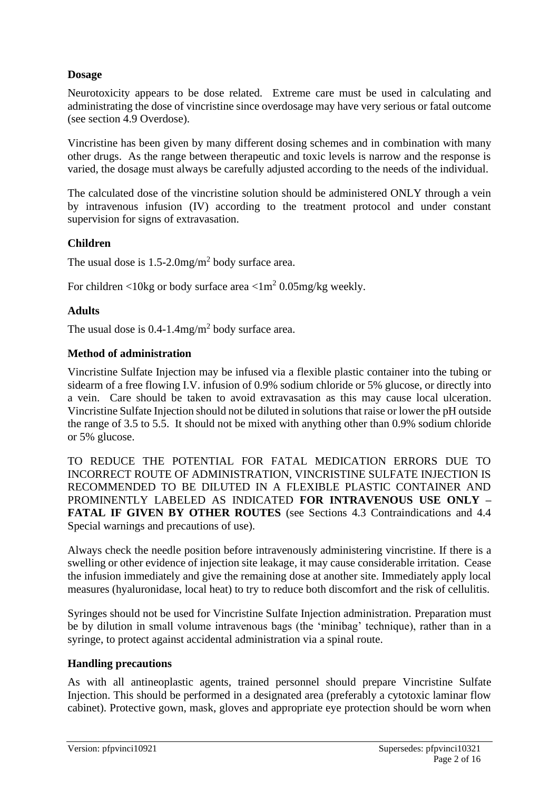#### **Dosage**

Neurotoxicity appears to be dose related. Extreme care must be used in calculating and administrating the dose of vincristine since overdosage may have very serious or fatal outcome (see section 4.9 Overdose).

Vincristine has been given by many different dosing schemes and in combination with many other drugs. As the range between therapeutic and toxic levels is narrow and the response is varied, the dosage must always be carefully adjusted according to the needs of the individual.

The calculated dose of the vincristine solution should be administered ONLY through a vein by intravenous infusion (IV) according to the treatment protocol and under constant supervision for signs of extravasation.

#### **Children**

The usual dose is  $1.5$ -2.0mg/m<sup>2</sup> body surface area.

For children <10kg or body surface area  $\langle 1 \text{m}^2 0.05 \text{mg/kg}$  weekly.

#### **Adults**

The usual dose is  $0.4$ -1.4mg/m<sup>2</sup> body surface area.

#### **Method of administration**

Vincristine Sulfate Injection may be infused via a flexible plastic container into the tubing or sidearm of a free flowing I.V. infusion of 0.9% sodium chloride or 5% glucose, or directly into a vein. Care should be taken to avoid extravasation as this may cause local ulceration. Vincristine Sulfate Injection should not be diluted in solutions that raise or lower the pH outside the range of 3.5 to 5.5. It should not be mixed with anything other than 0.9% sodium chloride or 5% glucose.

TO REDUCE THE POTENTIAL FOR FATAL MEDICATION ERRORS DUE TO INCORRECT ROUTE OF ADMINISTRATION, VINCRISTINE SULFATE INJECTION IS RECOMMENDED TO BE DILUTED IN A FLEXIBLE PLASTIC CONTAINER AND PROMINENTLY LABELED AS INDICATED **FOR INTRAVENOUS USE ONLY – FATAL IF GIVEN BY OTHER ROUTES** (see Sections 4.3 Contraindications and 4.4 Special warnings and precautions of use).

Always check the needle position before intravenously administering vincristine. If there is a swelling or other evidence of injection site leakage, it may cause considerable irritation. Cease the infusion immediately and give the remaining dose at another site. Immediately apply local measures (hyaluronidase, local heat) to try to reduce both discomfort and the risk of cellulitis.

Syringes should not be used for Vincristine Sulfate Injection administration. Preparation must be by dilution in small volume intravenous bags (the 'minibag' technique), rather than in a syringe, to protect against accidental administration via a spinal route.

#### **Handling precautions**

As with all antineoplastic agents, trained personnel should prepare Vincristine Sulfate Injection. This should be performed in a designated area (preferably a cytotoxic laminar flow cabinet). Protective gown, mask, gloves and appropriate eye protection should be worn when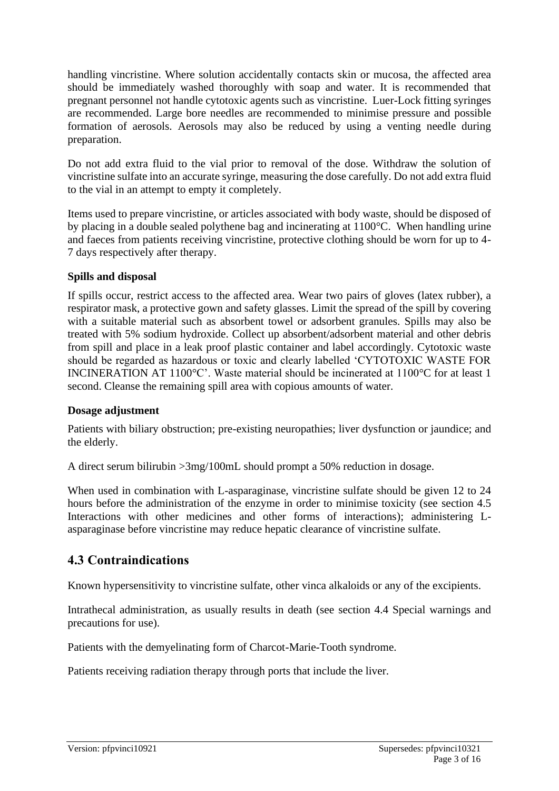handling vincristine. Where solution accidentally contacts skin or mucosa, the affected area should be immediately washed thoroughly with soap and water. It is recommended that pregnant personnel not handle cytotoxic agents such as vincristine. Luer-Lock fitting syringes are recommended. Large bore needles are recommended to minimise pressure and possible formation of aerosols. Aerosols may also be reduced by using a venting needle during preparation.

Do not add extra fluid to the vial prior to removal of the dose. Withdraw the solution of vincristine sulfate into an accurate syringe, measuring the dose carefully. Do not add extra fluid to the vial in an attempt to empty it completely.

Items used to prepare vincristine, or articles associated with body waste, should be disposed of by placing in a double sealed polythene bag and incinerating at 1100°C. When handling urine and faeces from patients receiving vincristine, protective clothing should be worn for up to 4- 7 days respectively after therapy.

#### **Spills and disposal**

If spills occur, restrict access to the affected area. Wear two pairs of gloves (latex rubber), a respirator mask, a protective gown and safety glasses. Limit the spread of the spill by covering with a suitable material such as absorbent towel or adsorbent granules. Spills may also be treated with 5% sodium hydroxide. Collect up absorbent/adsorbent material and other debris from spill and place in a leak proof plastic container and label accordingly. Cytotoxic waste should be regarded as hazardous or toxic and clearly labelled 'CYTOTOXIC WASTE FOR INCINERATION AT 1100°C'. Waste material should be incinerated at 1100°C for at least 1 second. Cleanse the remaining spill area with copious amounts of water.

#### **Dosage adjustment**

Patients with biliary obstruction; pre-existing neuropathies; liver dysfunction or jaundice; and the elderly.

A direct serum bilirubin >3mg/100mL should prompt a 50% reduction in dosage.

When used in combination with L-asparaginase, vincristine sulfate should be given 12 to 24 hours before the administration of the enzyme in order to minimise toxicity (see section 4.5 Interactions with other medicines and other forms of interactions); administering Lasparaginase before vincristine may reduce hepatic clearance of vincristine sulfate.

# **4.3 Contraindications**

Known hypersensitivity to vincristine sulfate, other vinca alkaloids or any of the excipients.

Intrathecal administration, as usually results in death (see section 4.4 Special warnings and precautions for use).

Patients with the demyelinating form of Charcot-Marie-Tooth syndrome.

Patients receiving radiation therapy through ports that include the liver.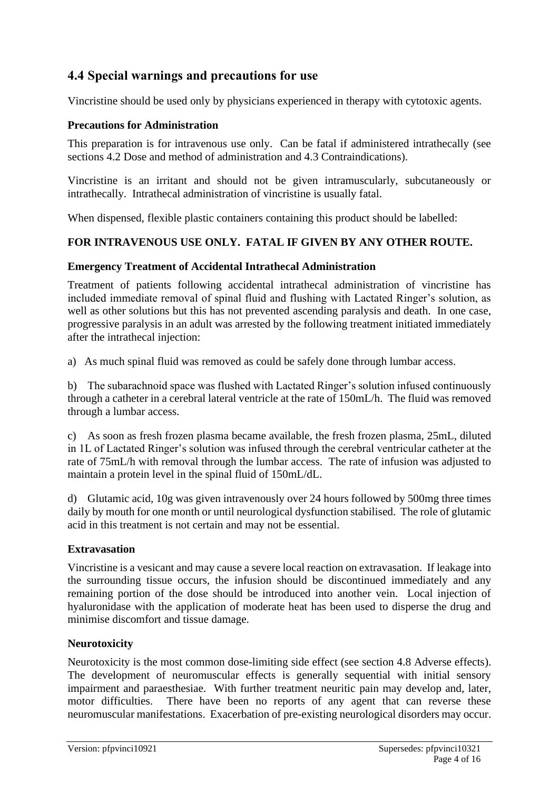# **4.4 Special warnings and precautions for use**

Vincristine should be used only by physicians experienced in therapy with cytotoxic agents.

#### **Precautions for Administration**

This preparation is for intravenous use only. Can be fatal if administered intrathecally (see sections 4.2 Dose and method of administration and 4.3 Contraindications).

Vincristine is an irritant and should not be given intramuscularly, subcutaneously or intrathecally. Intrathecal administration of vincristine is usually fatal.

When dispensed, flexible plastic containers containing this product should be labelled:

#### **FOR INTRAVENOUS USE ONLY. FATAL IF GIVEN BY ANY OTHER ROUTE.**

#### **Emergency Treatment of Accidental Intrathecal Administration**

Treatment of patients following accidental intrathecal administration of vincristine has included immediate removal of spinal fluid and flushing with Lactated Ringer's solution, as well as other solutions but this has not prevented ascending paralysis and death. In one case, progressive paralysis in an adult was arrested by the following treatment initiated immediately after the intrathecal injection:

a) As much spinal fluid was removed as could be safely done through lumbar access.

b) The subarachnoid space was flushed with Lactated Ringer's solution infused continuously through a catheter in a cerebral lateral ventricle at the rate of 150mL/h. The fluid was removed through a lumbar access.

c) As soon as fresh frozen plasma became available, the fresh frozen plasma, 25mL, diluted in 1L of Lactated Ringer's solution was infused through the cerebral ventricular catheter at the rate of 75mL/h with removal through the lumbar access. The rate of infusion was adjusted to maintain a protein level in the spinal fluid of 150mL/dL.

d) Glutamic acid, 10g was given intravenously over 24 hours followed by 500mg three times daily by mouth for one month or until neurological dysfunction stabilised. The role of glutamic acid in this treatment is not certain and may not be essential.

#### **Extravasation**

Vincristine is a vesicant and may cause a severe local reaction on extravasation. If leakage into the surrounding tissue occurs, the infusion should be discontinued immediately and any remaining portion of the dose should be introduced into another vein. Local injection of hyaluronidase with the application of moderate heat has been used to disperse the drug and minimise discomfort and tissue damage.

#### **Neurotoxicity**

Neurotoxicity is the most common dose-limiting side effect (see section 4.8 Adverse effects). The development of neuromuscular effects is generally sequential with initial sensory impairment and paraesthesiae. With further treatment neuritic pain may develop and, later, motor difficulties. There have been no reports of any agent that can reverse these neuromuscular manifestations. Exacerbation of pre-existing neurological disorders may occur.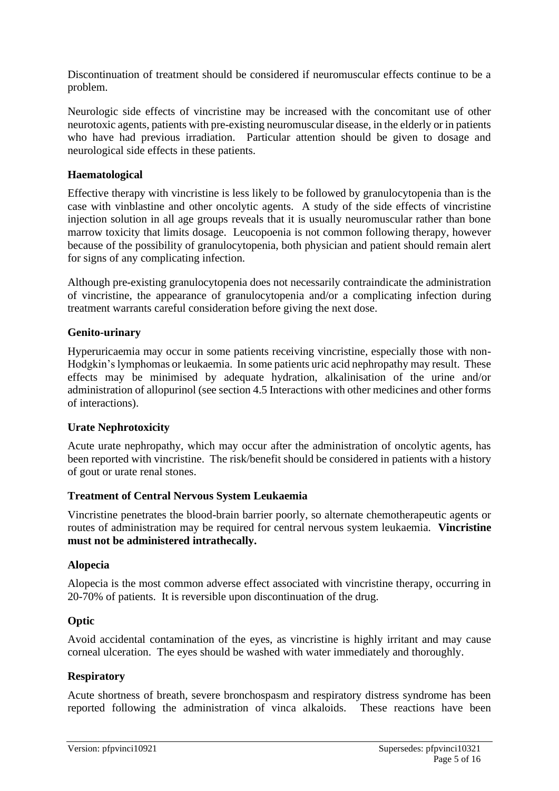Discontinuation of treatment should be considered if neuromuscular effects continue to be a problem.

Neurologic side effects of vincristine may be increased with the concomitant use of other neurotoxic agents, patients with pre-existing neuromuscular disease, in the elderly or in patients who have had previous irradiation. Particular attention should be given to dosage and neurological side effects in these patients.

#### **Haematological**

Effective therapy with vincristine is less likely to be followed by granulocytopenia than is the case with vinblastine and other oncolytic agents. A study of the side effects of vincristine injection solution in all age groups reveals that it is usually neuromuscular rather than bone marrow toxicity that limits dosage. Leucopoenia is not common following therapy, however because of the possibility of granulocytopenia, both physician and patient should remain alert for signs of any complicating infection.

Although pre-existing granulocytopenia does not necessarily contraindicate the administration of vincristine, the appearance of granulocytopenia and/or a complicating infection during treatment warrants careful consideration before giving the next dose.

#### **Genito-urinary**

Hyperuricaemia may occur in some patients receiving vincristine, especially those with non-Hodgkin's lymphomas or leukaemia. In some patients uric acid nephropathy may result. These effects may be minimised by adequate hydration, alkalinisation of the urine and/or administration of allopurinol (see section 4.5 Interactions with other medicines and other forms of interactions).

#### **Urate Nephrotoxicity**

Acute urate nephropathy, which may occur after the administration of oncolytic agents, has been reported with vincristine. The risk/benefit should be considered in patients with a history of gout or urate renal stones.

#### **Treatment of Central Nervous System Leukaemia**

Vincristine penetrates the blood-brain barrier poorly, so alternate chemotherapeutic agents or routes of administration may be required for central nervous system leukaemia. **Vincristine must not be administered intrathecally.**

#### **Alopecia**

Alopecia is the most common adverse effect associated with vincristine therapy, occurring in 20-70% of patients. It is reversible upon discontinuation of the drug.

#### **Optic**

Avoid accidental contamination of the eyes, as vincristine is highly irritant and may cause corneal ulceration. The eyes should be washed with water immediately and thoroughly.

#### **Respiratory**

Acute shortness of breath, severe bronchospasm and respiratory distress syndrome has been reported following the administration of vinca alkaloids. These reactions have been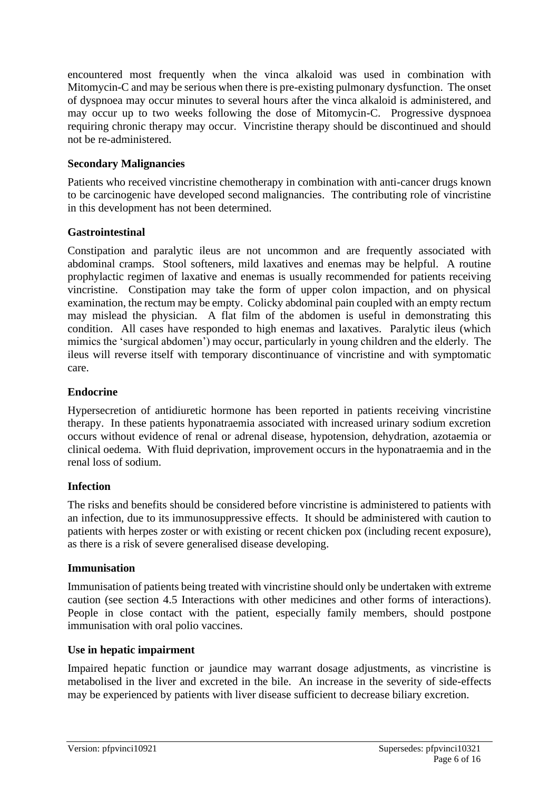encountered most frequently when the vinca alkaloid was used in combination with Mitomycin-C and may be serious when there is pre-existing pulmonary dysfunction. The onset of dyspnoea may occur minutes to several hours after the vinca alkaloid is administered, and may occur up to two weeks following the dose of Mitomycin-C. Progressive dyspnoea requiring chronic therapy may occur. Vincristine therapy should be discontinued and should not be re-administered.

#### **Secondary Malignancies**

Patients who received vincristine chemotherapy in combination with anti-cancer drugs known to be carcinogenic have developed second malignancies. The contributing role of vincristine in this development has not been determined.

#### **Gastrointestinal**

Constipation and paralytic ileus are not uncommon and are frequently associated with abdominal cramps. Stool softeners, mild laxatives and enemas may be helpful. A routine prophylactic regimen of laxative and enemas is usually recommended for patients receiving vincristine. Constipation may take the form of upper colon impaction, and on physical examination, the rectum may be empty. Colicky abdominal pain coupled with an empty rectum may mislead the physician. A flat film of the abdomen is useful in demonstrating this condition. All cases have responded to high enemas and laxatives. Paralytic ileus (which mimics the 'surgical abdomen') may occur, particularly in young children and the elderly. The ileus will reverse itself with temporary discontinuance of vincristine and with symptomatic care.

#### **Endocrine**

Hypersecretion of antidiuretic hormone has been reported in patients receiving vincristine therapy. In these patients hyponatraemia associated with increased urinary sodium excretion occurs without evidence of renal or adrenal disease, hypotension, dehydration, azotaemia or clinical oedema. With fluid deprivation, improvement occurs in the hyponatraemia and in the renal loss of sodium.

#### **Infection**

The risks and benefits should be considered before vincristine is administered to patients with an infection, due to its immunosuppressive effects. It should be administered with caution to patients with herpes zoster or with existing or recent chicken pox (including recent exposure), as there is a risk of severe generalised disease developing.

#### **Immunisation**

Immunisation of patients being treated with vincristine should only be undertaken with extreme caution (see section 4.5 Interactions with other medicines and other forms of interactions). People in close contact with the patient, especially family members, should postpone immunisation with oral polio vaccines.

#### **Use in hepatic impairment**

Impaired hepatic function or jaundice may warrant dosage adjustments, as vincristine is metabolised in the liver and excreted in the bile. An increase in the severity of side-effects may be experienced by patients with liver disease sufficient to decrease biliary excretion.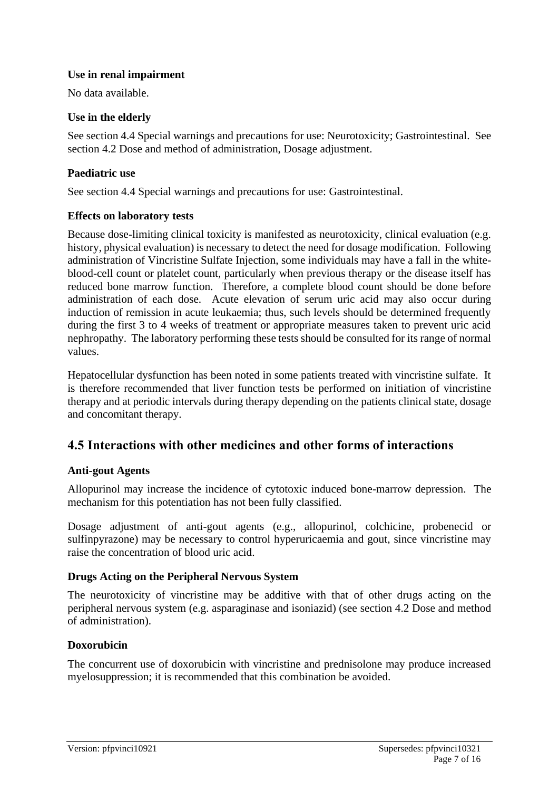#### **Use in renal impairment**

No data available.

#### **Use in the elderly**

See section 4.4 Special warnings and precautions for use: Neurotoxicity; Gastrointestinal. See section 4.2 Dose and method of administration, Dosage adjustment.

#### **Paediatric use**

See section 4.4 Special warnings and precautions for use: Gastrointestinal.

#### **Effects on laboratory tests**

Because dose-limiting clinical toxicity is manifested as neurotoxicity, clinical evaluation (e.g. history, physical evaluation) is necessary to detect the need for dosage modification. Following administration of Vincristine Sulfate Injection, some individuals may have a fall in the whiteblood-cell count or platelet count, particularly when previous therapy or the disease itself has reduced bone marrow function. Therefore, a complete blood count should be done before administration of each dose. Acute elevation of serum uric acid may also occur during induction of remission in acute leukaemia; thus, such levels should be determined frequently during the first 3 to 4 weeks of treatment or appropriate measures taken to prevent uric acid nephropathy. The laboratory performing these tests should be consulted for its range of normal values.

Hepatocellular dysfunction has been noted in some patients treated with vincristine sulfate. It is therefore recommended that liver function tests be performed on initiation of vincristine therapy and at periodic intervals during therapy depending on the patients clinical state, dosage and concomitant therapy.

# **4.5 Interactions with other medicines and other forms of interactions**

#### **Anti-gout Agents**

Allopurinol may increase the incidence of cytotoxic induced bone-marrow depression. The mechanism for this potentiation has not been fully classified.

Dosage adjustment of anti-gout agents (e.g., allopurinol, colchicine, probenecid or sulfinpyrazone) may be necessary to control hyperuricaemia and gout, since vincristine may raise the concentration of blood uric acid.

#### **Drugs Acting on the Peripheral Nervous System**

The neurotoxicity of vincristine may be additive with that of other drugs acting on the peripheral nervous system (e.g. asparaginase and isoniazid) (see section 4.2 Dose and method of administration).

#### **Doxorubicin**

The concurrent use of doxorubicin with vincristine and prednisolone may produce increased myelosuppression; it is recommended that this combination be avoided.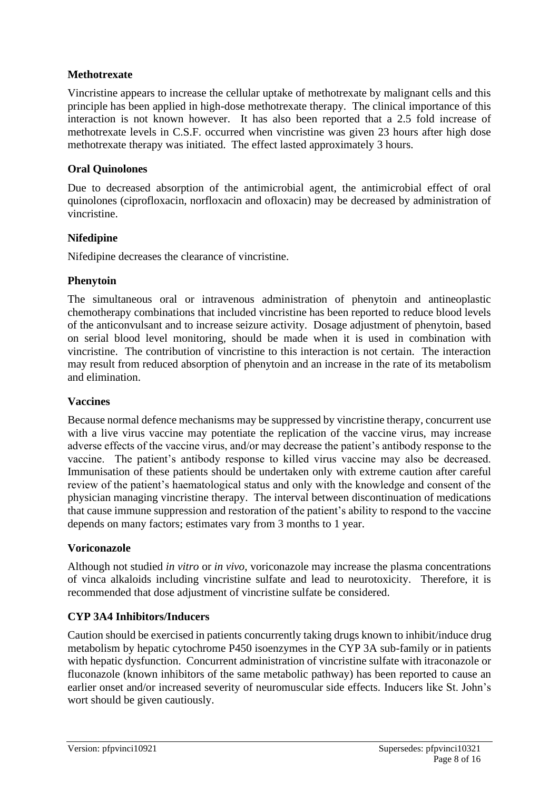#### **Methotrexate**

Vincristine appears to increase the cellular uptake of methotrexate by malignant cells and this principle has been applied in high-dose methotrexate therapy. The clinical importance of this interaction is not known however. It has also been reported that a 2.5 fold increase of methotrexate levels in C.S.F. occurred when vincristine was given 23 hours after high dose methotrexate therapy was initiated. The effect lasted approximately 3 hours.

#### **Oral Quinolones**

Due to decreased absorption of the antimicrobial agent, the antimicrobial effect of oral quinolones (ciprofloxacin, norfloxacin and ofloxacin) may be decreased by administration of vincristine.

#### **Nifedipine**

Nifedipine decreases the clearance of vincristine.

#### **Phenytoin**

The simultaneous oral or intravenous administration of phenytoin and antineoplastic chemotherapy combinations that included vincristine has been reported to reduce blood levels of the anticonvulsant and to increase seizure activity. Dosage adjustment of phenytoin, based on serial blood level monitoring, should be made when it is used in combination with vincristine. The contribution of vincristine to this interaction is not certain. The interaction may result from reduced absorption of phenytoin and an increase in the rate of its metabolism and elimination.

#### **Vaccines**

Because normal defence mechanisms may be suppressed by vincristine therapy, concurrent use with a live virus vaccine may potentiate the replication of the vaccine virus, may increase adverse effects of the vaccine virus, and/or may decrease the patient's antibody response to the vaccine. The patient's antibody response to killed virus vaccine may also be decreased. Immunisation of these patients should be undertaken only with extreme caution after careful review of the patient's haematological status and only with the knowledge and consent of the physician managing vincristine therapy. The interval between discontinuation of medications that cause immune suppression and restoration of the patient's ability to respond to the vaccine depends on many factors; estimates vary from 3 months to 1 year.

#### **Voriconazole**

Although not studied *in vitro* or *in vivo*, voriconazole may increase the plasma concentrations of vinca alkaloids including vincristine sulfate and lead to neurotoxicity. Therefore, it is recommended that dose adjustment of vincristine sulfate be considered.

#### **CYP 3A4 Inhibitors/Inducers**

Caution should be exercised in patients concurrently taking drugs known to inhibit/induce drug metabolism by hepatic cytochrome P450 isoenzymes in the CYP 3A sub-family or in patients with hepatic dysfunction. Concurrent administration of vincristine sulfate with itraconazole or fluconazole (known inhibitors of the same metabolic pathway) has been reported to cause an earlier onset and/or increased severity of neuromuscular side effects. Inducers like St. John's wort should be given cautiously.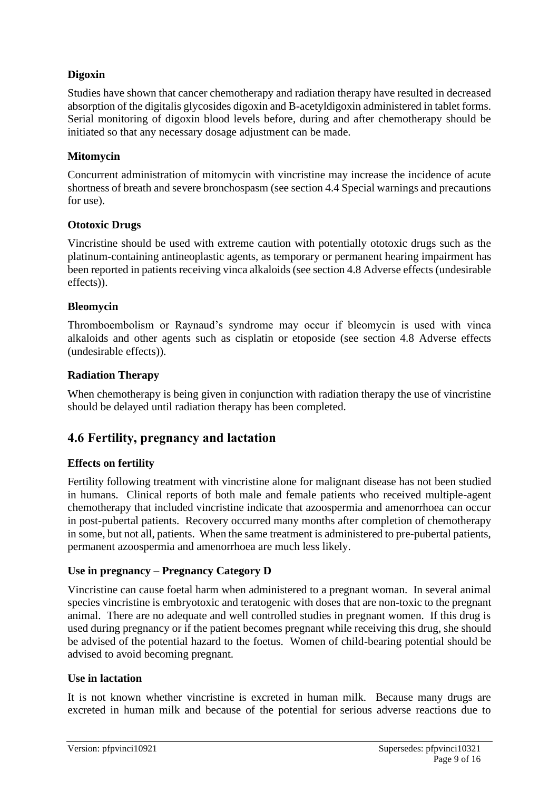#### **Digoxin**

Studies have shown that cancer chemotherapy and radiation therapy have resulted in decreased absorption of the digitalis glycosides digoxin and B-acetyldigoxin administered in tablet forms. Serial monitoring of digoxin blood levels before, during and after chemotherapy should be initiated so that any necessary dosage adjustment can be made.

#### **Mitomycin**

Concurrent administration of mitomycin with vincristine may increase the incidence of acute shortness of breath and severe bronchospasm (see section 4.4 Special warnings and precautions for use).

#### **Ototoxic Drugs**

Vincristine should be used with extreme caution with potentially ototoxic drugs such as the platinum-containing antineoplastic agents, as temporary or permanent hearing impairment has been reported in patients receiving vinca alkaloids (see section 4.8 Adverse effects (undesirable effects)).

#### **Bleomycin**

Thromboembolism or Raynaud's syndrome may occur if bleomycin is used with vinca alkaloids and other agents such as cisplatin or etoposide (see section 4.8 Adverse effects (undesirable effects)).

#### **Radiation Therapy**

When chemotherapy is being given in conjunction with radiation therapy the use of vincristine should be delayed until radiation therapy has been completed.

### **4.6 Fertility, pregnancy and lactation**

#### **Effects on fertility**

Fertility following treatment with vincristine alone for malignant disease has not been studied in humans. Clinical reports of both male and female patients who received multiple-agent chemotherapy that included vincristine indicate that azoospermia and amenorrhoea can occur in post-pubertal patients. Recovery occurred many months after completion of chemotherapy in some, but not all, patients. When the same treatment is administered to pre-pubertal patients, permanent azoospermia and amenorrhoea are much less likely.

#### **Use in pregnancy – Pregnancy Category D**

Vincristine can cause foetal harm when administered to a pregnant woman. In several animal species vincristine is embryotoxic and teratogenic with doses that are non-toxic to the pregnant animal. There are no adequate and well controlled studies in pregnant women. If this drug is used during pregnancy or if the patient becomes pregnant while receiving this drug, she should be advised of the potential hazard to the foetus. Women of child-bearing potential should be advised to avoid becoming pregnant.

#### **Use in lactation**

It is not known whether vincristine is excreted in human milk. Because many drugs are excreted in human milk and because of the potential for serious adverse reactions due to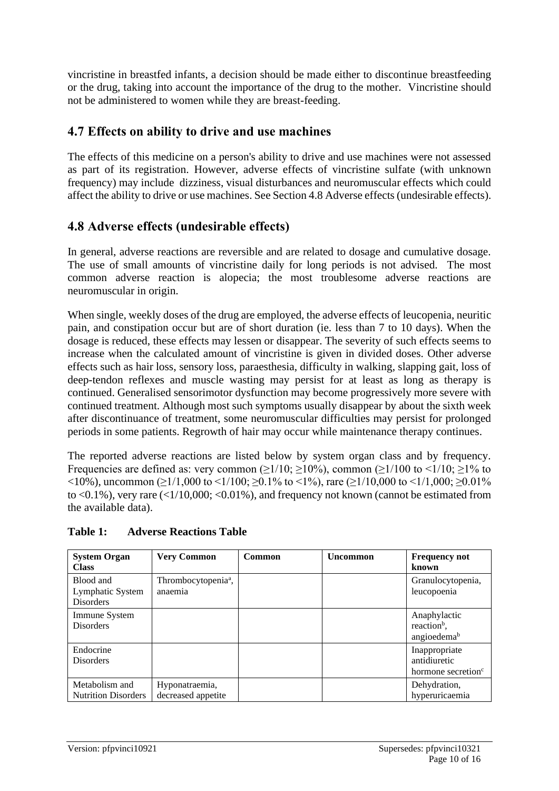vincristine in breastfed infants, a decision should be made either to discontinue breastfeeding or the drug, taking into account the importance of the drug to the mother. Vincristine should not be administered to women while they are breast-feeding.

# **4.7 Effects on ability to drive and use machines**

The effects of this medicine on a person's ability to drive and use machines were not assessed as part of its registration. However, adverse effects of vincristine sulfate (with unknown frequency) may include dizziness, visual disturbances and neuromuscular effects which could affect the ability to drive or use machines. See Section 4.8 Adverse effects (undesirable effects).

# **4.8 Adverse effects (undesirable effects)**

In general, adverse reactions are reversible and are related to dosage and cumulative dosage. The use of small amounts of vincristine daily for long periods is not advised. The most common adverse reaction is alopecia; the most troublesome adverse reactions are neuromuscular in origin.

When single, weekly doses of the drug are employed, the adverse effects of leucopenia, neuritic pain, and constipation occur but are of short duration (ie. less than 7 to 10 days). When the dosage is reduced, these effects may lessen or disappear. The severity of such effects seems to increase when the calculated amount of vincristine is given in divided doses. Other adverse effects such as hair loss, sensory loss, paraesthesia, difficulty in walking, slapping gait, loss of deep-tendon reflexes and muscle wasting may persist for at least as long as therapy is continued. Generalised sensorimotor dysfunction may become progressively more severe with continued treatment. Although most such symptoms usually disappear by about the sixth week after discontinuance of treatment, some neuromuscular difficulties may persist for prolonged periods in some patients. Regrowth of hair may occur while maintenance therapy continues.

The reported adverse reactions are listed below by system organ class and by frequency. Frequencies are defined as: very common ( $\geq 1/10$ ;  $\geq 10\%$ ), common ( $\geq 1/100$  to  $\leq 1/10$ ;  $\geq 1\%$  to <10%), uncommon ( $\geq 1/1,000$  to <1/100;  $\geq 0.1\%$  to <1%), rare ( $\geq 1/10,000$  to <1/1,000;  $\geq 0.01\%$ to  $\langle 0.1\%$ ), very rare ( $\langle 1/10,000; \langle 0.01\% \rangle$ ), and frequency not known (cannot be estimated from the available data).

**Table 1: Adverse Reactions Table**

| <b>System Organ</b><br><b>Class</b>               | <b>Very Common</b>                         | Common | <b>Uncommon</b> | <b>Frequency not</b><br>known                                      |
|---------------------------------------------------|--------------------------------------------|--------|-----------------|--------------------------------------------------------------------|
| Blood and<br>Lymphatic System<br><b>Disorders</b> | Thrombocytopenia <sup>a</sup> ,<br>anaemia |        |                 | Granulocytopenia,<br>leucopoenia                                   |
| Immune System<br><b>Disorders</b>                 |                                            |        |                 | Anaphylactic<br>reaction <sup>b</sup> ,<br>angioedema <sup>b</sup> |
| Endocrine<br><b>Disorders</b>                     |                                            |        |                 | Inappropriate<br>antidiuretic<br>hormone secretion <sup>c</sup>    |
| Metabolism and<br><b>Nutrition Disorders</b>      | Hyponatraemia,<br>decreased appetite       |        |                 | Dehydration,<br>hyperuricaemia                                     |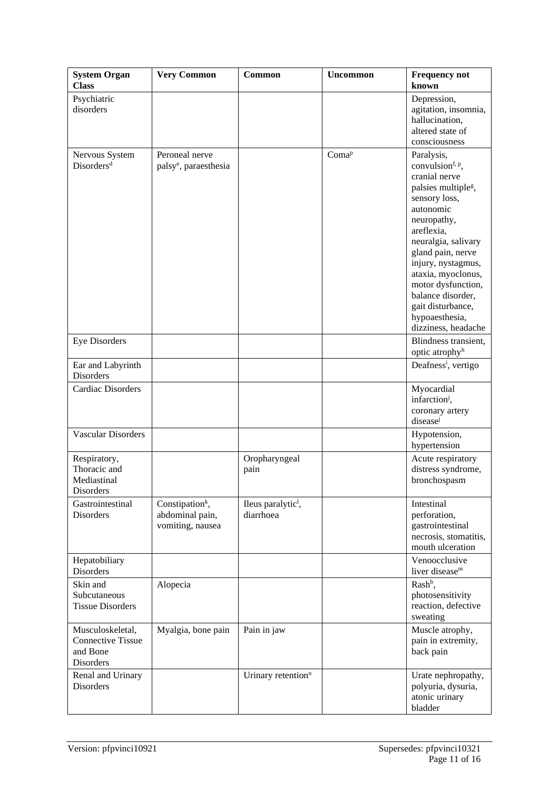| <b>System Organ</b><br><b>Class</b>                                   | <b>Very Common</b>                                                 | Common                                      | <b>Uncommon</b>   | <b>Frequency not</b><br>known                                                                                                                                                                                                                                                                                                                              |
|-----------------------------------------------------------------------|--------------------------------------------------------------------|---------------------------------------------|-------------------|------------------------------------------------------------------------------------------------------------------------------------------------------------------------------------------------------------------------------------------------------------------------------------------------------------------------------------------------------------|
| Psychiatric<br>disorders                                              |                                                                    |                                             |                   | Depression,<br>agitation, insomnia,<br>hallucination,<br>altered state of<br>consciousness                                                                                                                                                                                                                                                                 |
| Nervous System<br>Disorders <sup>d</sup>                              | Peroneal nerve<br>palsy <sup>e</sup> , paraesthesia                |                                             | Coma <sup>p</sup> | Paralysis,<br>convulsion <sup>f, p</sup> ,<br>cranial nerve<br>palsies multiple <sup>g</sup> ,<br>sensory loss,<br>autonomic<br>neuropathy,<br>areflexia,<br>neuralgia, salivary<br>gland pain, nerve<br>injury, nystagmus,<br>ataxia, myoclonus,<br>motor dysfunction,<br>balance disorder,<br>gait disturbance,<br>hypoaesthesia,<br>dizziness, headache |
| <b>Eye Disorders</b>                                                  |                                                                    |                                             |                   | Blindness transient,<br>optic atrophy <sup>h</sup>                                                                                                                                                                                                                                                                                                         |
| Ear and Labyrinth<br>Disorders                                        |                                                                    |                                             |                   | Deafness <sup>i</sup> , vertigo                                                                                                                                                                                                                                                                                                                            |
| Cardiac Disorders                                                     |                                                                    |                                             |                   | Myocardial<br>infarction <sup>j</sup> ,<br>coronary artery<br>disease                                                                                                                                                                                                                                                                                      |
| Vascular Disorders                                                    |                                                                    |                                             |                   | Hypotension,<br>hypertension                                                                                                                                                                                                                                                                                                                               |
| Respiratory,<br>Thoracic and<br>Mediastinal<br>Disorders              |                                                                    | Oropharyngeal<br>pain                       |                   | Acute respiratory<br>distress syndrome,<br>bronchospasm                                                                                                                                                                                                                                                                                                    |
| Gastrointestinal<br><b>Disorders</b>                                  | Constipation <sup>k</sup> ,<br>abdominal pain,<br>vomiting, nausea | Ileus paralytic <sup>1</sup> ,<br>diarrhoea |                   | Intestinal<br>perforation,<br>gastrointestinal<br>necrosis, stomatitis,<br>mouth ulceration                                                                                                                                                                                                                                                                |
| Hepatobiliary<br><b>Disorders</b>                                     |                                                                    |                                             |                   | Venoocclusive<br>liver disease <sup>m</sup>                                                                                                                                                                                                                                                                                                                |
| Skin and<br>Subcutaneous<br><b>Tissue Disorders</b>                   | Alopecia                                                           |                                             |                   | Rash <sup>b</sup> ,<br>photosensitivity<br>reaction, defective<br>sweating                                                                                                                                                                                                                                                                                 |
| Musculoskeletal,<br><b>Connective Tissue</b><br>and Bone<br>Disorders | Myalgia, bone pain                                                 | Pain in jaw                                 |                   | Muscle atrophy,<br>pain in extremity,<br>back pain                                                                                                                                                                                                                                                                                                         |
| Renal and Urinary<br><b>Disorders</b>                                 |                                                                    | Urinary retention <sup>n</sup>              |                   | Urate nephropathy,<br>polyuria, dysuria,<br>atonic urinary<br>bladder                                                                                                                                                                                                                                                                                      |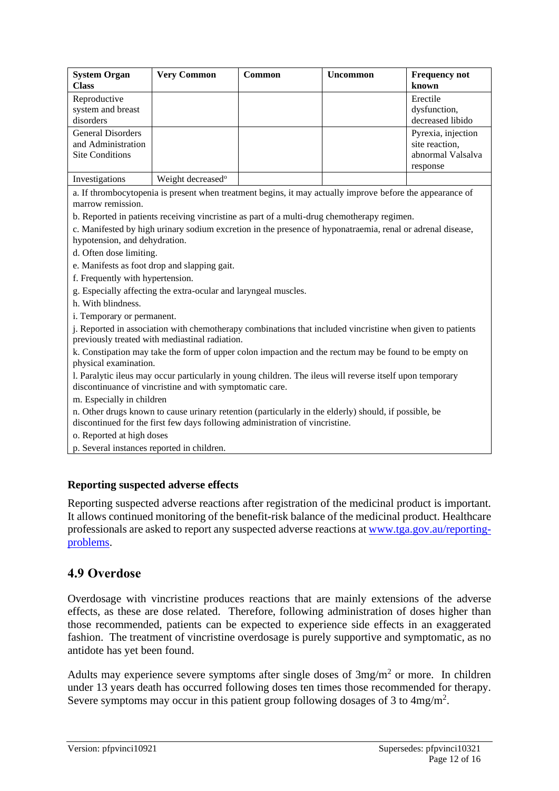| <b>System Organ</b><br><b>Class</b>                               | <b>Very Common</b>            | <b>Common</b> | <b>Uncommon</b> | <b>Frequency not</b><br>known                                         |
|-------------------------------------------------------------------|-------------------------------|---------------|-----------------|-----------------------------------------------------------------------|
| Reproductive<br>system and breast<br>disorders                    |                               |               |                 | Erectile<br>dysfunction,<br>decreased libido                          |
| <b>General Disorders</b><br>and Administration<br>Site Conditions |                               |               |                 | Pyrexia, injection<br>site reaction,<br>abnormal Valsalva<br>response |
| Investigations                                                    | Weight decreased <sup>o</sup> |               |                 |                                                                       |

a. If thrombocytopenia is present when treatment begins, it may actually improve before the appearance of marrow remission.

b. Reported in patients receiving vincristine as part of a multi-drug chemotherapy regimen.

c. Manifested by high urinary sodium excretion in the presence of hyponatraemia, renal or adrenal disease, hypotension, and dehydration.

d. Often dose limiting.

e. Manifests as foot drop and slapping gait.

f. Frequently with hypertension.

g. Especially affecting the extra-ocular and laryngeal muscles.

h. With blindness.

i. Temporary or permanent.

j. Reported in association with chemotherapy combinations that included vincristine when given to patients previously treated with mediastinal radiation.

k. Constipation may take the form of upper colon impaction and the rectum may be found to be empty on physical examination.

l. Paralytic ileus may occur particularly in young children. The ileus will reverse itself upon temporary discontinuance of vincristine and with symptomatic care.

m. Especially in children

n. Other drugs known to cause urinary retention (particularly in the elderly) should, if possible, be discontinued for the first few days following administration of vincristine.

o. Reported at high doses

p. Several instances reported in children.

#### **Reporting suspected adverse effects**

Reporting suspected adverse reactions after registration of the medicinal product is important. It allows continued monitoring of the benefit-risk balance of the medicinal product. Healthcare professionals are asked to report any suspected adverse reactions at [www.tga.gov.au/reporting](http://www.tga.gov.au/reporting-problems)[problems.](http://www.tga.gov.au/reporting-problems)

#### **4.9 Overdose**

Overdosage with vincristine produces reactions that are mainly extensions of the adverse effects, as these are dose related. Therefore, following administration of doses higher than those recommended, patients can be expected to experience side effects in an exaggerated fashion. The treatment of vincristine overdosage is purely supportive and symptomatic, as no antidote has yet been found.

Adults may experience severe symptoms after single doses of  $3mg/m<sup>2</sup>$  or more. In children under 13 years death has occurred following doses ten times those recommended for therapy. Severe symptoms may occur in this patient group following dosages of 3 to  $4mg/m<sup>2</sup>$ .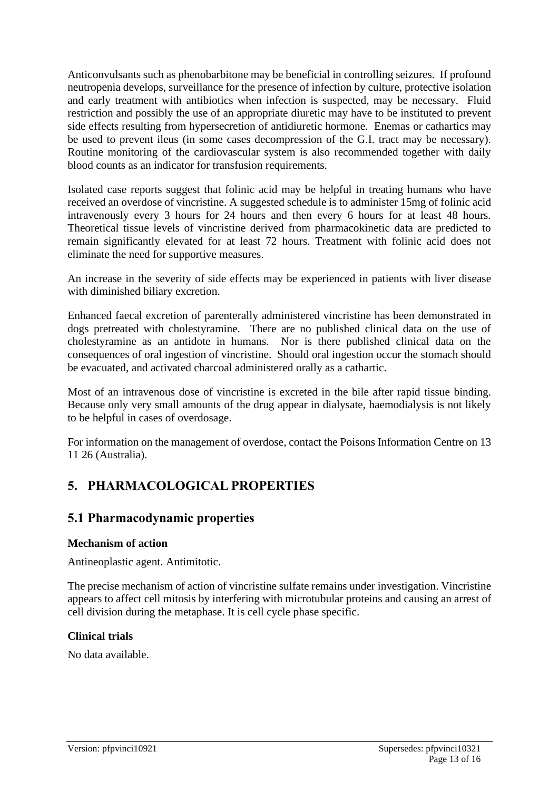Anticonvulsants such as phenobarbitone may be beneficial in controlling seizures. If profound neutropenia develops, surveillance for the presence of infection by culture, protective isolation and early treatment with antibiotics when infection is suspected, may be necessary. Fluid restriction and possibly the use of an appropriate diuretic may have to be instituted to prevent side effects resulting from hypersecretion of antidiuretic hormone. Enemas or cathartics may be used to prevent ileus (in some cases decompression of the G.I. tract may be necessary). Routine monitoring of the cardiovascular system is also recommended together with daily blood counts as an indicator for transfusion requirements.

Isolated case reports suggest that folinic acid may be helpful in treating humans who have received an overdose of vincristine. A suggested schedule is to administer 15mg of folinic acid intravenously every 3 hours for 24 hours and then every 6 hours for at least 48 hours. Theoretical tissue levels of vincristine derived from pharmacokinetic data are predicted to remain significantly elevated for at least 72 hours. Treatment with folinic acid does not eliminate the need for supportive measures.

An increase in the severity of side effects may be experienced in patients with liver disease with diminished biliary excretion.

Enhanced faecal excretion of parenterally administered vincristine has been demonstrated in dogs pretreated with cholestyramine. There are no published clinical data on the use of cholestyramine as an antidote in humans. Nor is there published clinical data on the consequences of oral ingestion of vincristine. Should oral ingestion occur the stomach should be evacuated, and activated charcoal administered orally as a cathartic.

Most of an intravenous dose of vincristine is excreted in the bile after rapid tissue binding. Because only very small amounts of the drug appear in dialysate, haemodialysis is not likely to be helpful in cases of overdosage.

For information on the management of overdose, contact the Poisons Information Centre on 13 11 26 (Australia).

# **5. PHARMACOLOGICAL PROPERTIES**

### **5.1 Pharmacodynamic properties**

#### **Mechanism of action**

Antineoplastic agent. Antimitotic.

The precise mechanism of action of vincristine sulfate remains under investigation. Vincristine appears to affect cell mitosis by interfering with microtubular proteins and causing an arrest of cell division during the metaphase. It is cell cycle phase specific.

#### **Clinical trials**

No data available.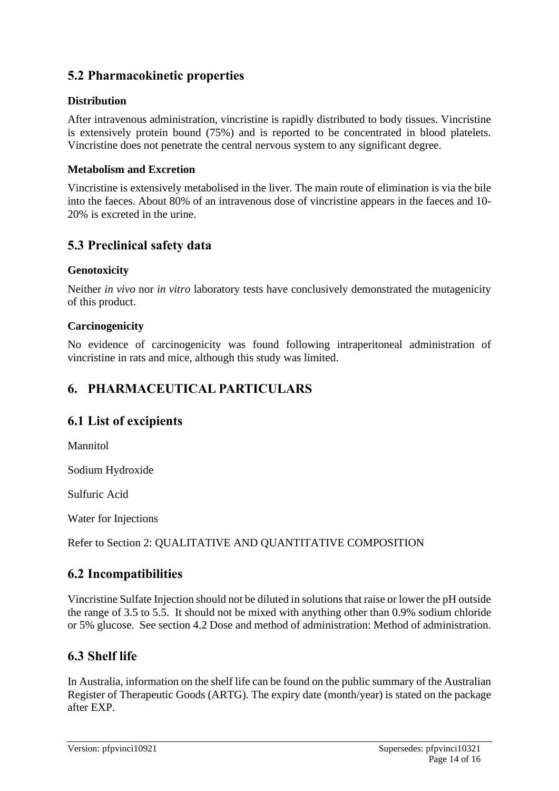# **5.2 Pharmacokinetic properties**

#### **Distribution**

After intravenous administration, vincristine is rapidly distributed to body tissues. Vincristine is extensively protein bound (75%) and is reported to be concentrated in blood platelets. Vincristine does not penetrate the central nervous system to any significant degree.

#### **Metabolism and Excretion**

Vincristine is extensively metabolised in the liver. The main route of elimination is via the bile into the faeces. About 80% of an intravenous dose of vincristine appears in the faeces and 10- 20% is excreted in the urine.

# **5.3 Preclinical safety data**

#### **Genotoxicity**

Neither *in vivo* nor *in vitro* laboratory tests have conclusively demonstrated the mutagenicity of this product.

#### **Carcinogenicity**

No evidence of carcinogenicity was found following intraperitoneal administration of vincristine in rats and mice, although this study was limited.

# **6. PHARMACEUTICAL PARTICULARS**

### **6.1 List of excipients**

Mannitol

Sodium Hydroxide

Sulfuric Acid

Water for Injections

Refer to Section 2: QUALITATIVE AND QUANTITATIVE COMPOSITION

### **6.2 Incompatibilities**

Vincristine Sulfate Injection should not be diluted in solutions that raise or lower the pH outside the range of 3.5 to 5.5. It should not be mixed with anything other than 0.9% sodium chloride or 5% glucose. See section 4.2 Dose and method of administration: Method of administration.

# **6.3 Shelf life**

In Australia, information on the shelf life can be found on the public summary of the Australian Register of Therapeutic Goods (ARTG). The expiry date (month/year) is stated on the package after EXP.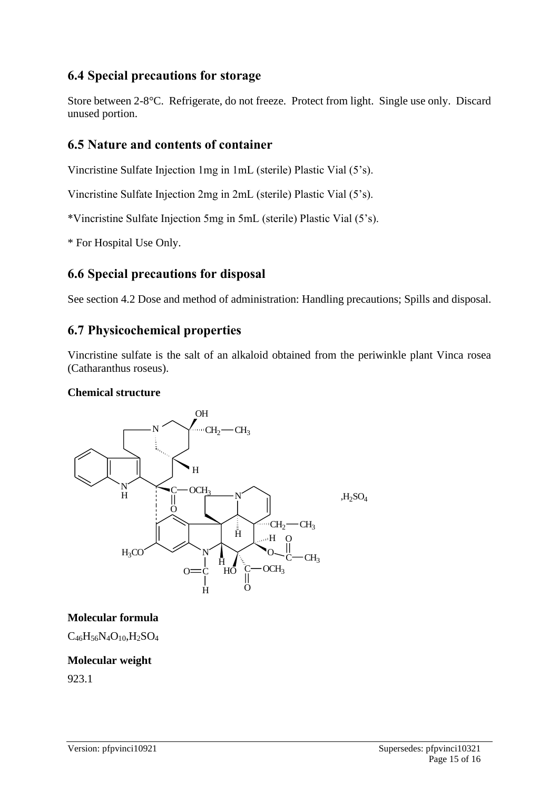# **6.4 Special precautions for storage**

Store between 2-8°C. Refrigerate, do not freeze. Protect from light. Single use only. Discard unused portion.

# **6.5 Nature and contents of container**

Vincristine Sulfate Injection 1mg in 1mL (sterile) Plastic Vial (5's).

Vincristine Sulfate Injection 2mg in 2mL (sterile) Plastic Vial (5's).

\*Vincristine Sulfate Injection 5mg in 5mL (sterile) Plastic Vial (5's).

\* For Hospital Use Only.

## **6.6 Special precautions for disposal**

See section 4.2 Dose and method of administration: Handling precautions; Spills and disposal.

### **6.7 Physicochemical properties**

Vincristine sulfate is the salt of an alkaloid obtained from the periwinkle plant Vinca rosea (Catharanthus roseus).

#### **Chemical structure**



#### **Molecular formula**

 $C_{46}H_{56}N_4O_{10}$ ,  $H_2SO_4$ 

#### **Molecular weight**

923.1